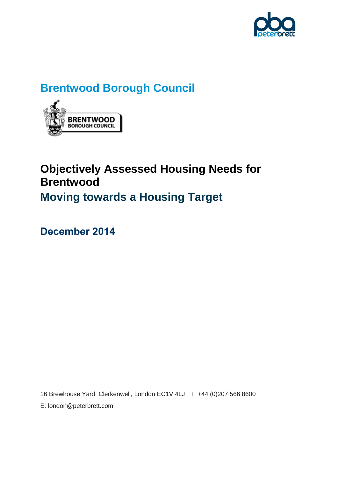

# **Brentwood Borough Council**



# **Objectively Assessed Housing Needs for Brentwood Moving towards a Housing Target**

**December 2014**

16 Brewhouse Yard, Clerkenwell, London EC1V 4LJ T: +44 (0)207 566 8600 E: london@peterbrett.com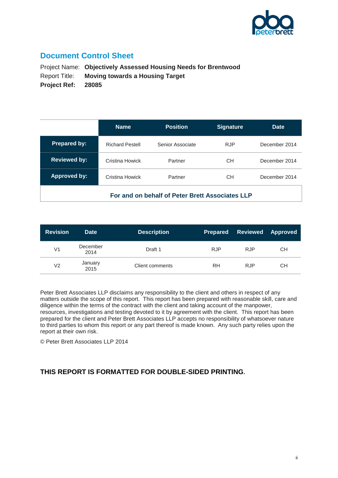

### **Document Control Sheet**

Project Name: **Objectively Assessed Housing Needs for Brentwood** Report Title: **Moving towards a Housing Target Project Ref: 28085**

|                                                          | <b>Name</b>            | <b>Position</b>  | <b>Signature</b> | <b>Date</b>   |
|----------------------------------------------------------|------------------------|------------------|------------------|---------------|
| <b>Prepared by:</b>                                      | <b>Richard Pestell</b> | Senior Associate | <b>RJP</b>       | December 2014 |
| <b>Reviewed by:</b>                                      | Cristina Howick        | Partner          | CH.              | December 2014 |
| <b>Approved by:</b><br>Cristina Howick<br>CH.<br>Partner |                        |                  |                  | December 2014 |
| For and on behalf of Peter Brett Associates LLP          |                        |                  |                  |               |

| <b>Revision</b> | <b>Date</b>      | <b>Description</b> | <b>Prepared</b> |            | Reviewed Approved |
|-----------------|------------------|--------------------|-----------------|------------|-------------------|
| V <sub>1</sub>  | December<br>2014 | Draft 1            | <b>RJP</b>      | <b>RJP</b> | CН                |
| V2              | January<br>2015  | Client comments    | RH              | <b>RJP</b> | CН                |

Peter Brett Associates LLP disclaims any responsibility to the client and others in respect of any matters outside the scope of this report. This report has been prepared with reasonable skill, care and diligence within the terms of the contract with the client and taking account of the manpower, resources, investigations and testing devoted to it by agreement with the client. This report has been prepared for the client and Peter Brett Associates LLP accepts no responsibility of whatsoever nature to third parties to whom this report or any part thereof is made known. Any such party relies upon the report at their own risk.

© Peter Brett Associates LLP 2014

#### **THIS REPORT IS FORMATTED FOR DOUBLE-SIDED PRINTING.**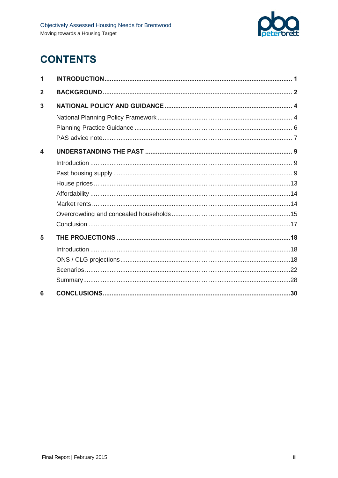

# **CONTENTS**

| 1              |                                                      |  |
|----------------|------------------------------------------------------|--|
| $\overline{2}$ |                                                      |  |
| 3              |                                                      |  |
|                |                                                      |  |
|                |                                                      |  |
|                |                                                      |  |
| 4              |                                                      |  |
|                |                                                      |  |
|                |                                                      |  |
|                |                                                      |  |
|                |                                                      |  |
|                |                                                      |  |
|                |                                                      |  |
|                |                                                      |  |
| 5              | THE PROJECTIONS …………………………………………………………………………………………18 |  |
|                |                                                      |  |
|                |                                                      |  |
|                |                                                      |  |
|                |                                                      |  |
| 6              |                                                      |  |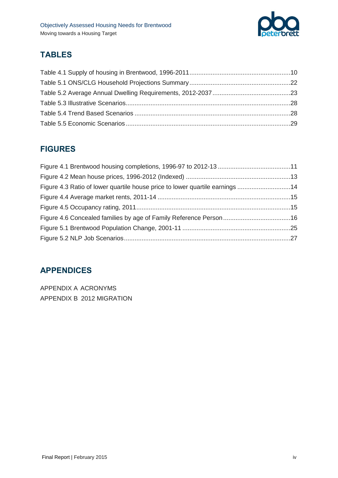

## **TABLES**

## **FIGURES**

| Figure 4.3 Ratio of lower quartile house price to lower quartile earnings 14 |  |
|------------------------------------------------------------------------------|--|
|                                                                              |  |
|                                                                              |  |
|                                                                              |  |
|                                                                              |  |
|                                                                              |  |

### **APPENDICES**

APPENDIX A ACRONYMS APPENDIX B 2012 MIGRATION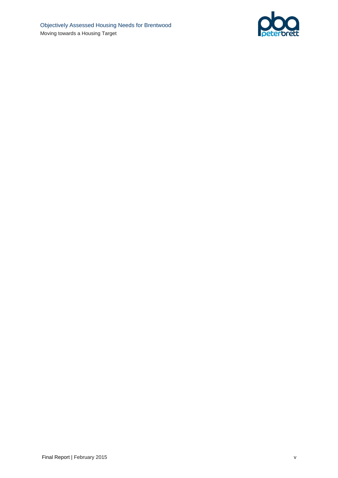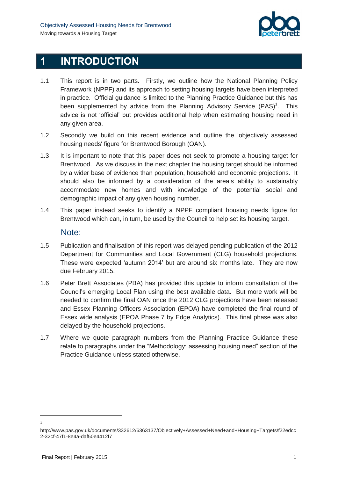

## <span id="page-6-0"></span>**1 INTRODUCTION**

- 1.1 This report is in two parts. Firstly, we outline how the National Planning Policy Framework (NPPF) and its approach to setting housing targets have been interpreted in practice. Official guidance is limited to the Planning Practice Guidance but this has been supplemented by advice from the Planning Advisory Service  $(PAS)^1$ . This advice is not 'official' but provides additional help when estimating housing need in any given area.
- 1.2 Secondly we build on this recent evidence and outline the 'objectively assessed housing needs' figure for Brentwood Borough (OAN).
- 1.3 It is important to note that this paper does not seek to promote a housing target for Brentwood. As we discuss in the next chapter the housing target should be informed by a wider base of evidence than population, household and economic projections. It should also be informed by a consideration of the area's ability to sustainably accommodate new homes and with knowledge of the potential social and demographic impact of any given housing number.
- 1.4 This paper instead seeks to identify a NPPF compliant housing needs figure for Brentwood which can, in turn, be used by the Council to help set its housing target.

#### Note:

- 1.5 Publication and finalisation of this report was delayed pending publication of the 2012 Department for Communities and Local Government (CLG) household projections. These were expected 'autumn 2014' but are around six months late. They are now due February 2015.
- 1.6 Peter Brett Associates (PBA) has provided this update to inform consultation of the Council's emerging Local Plan using the best available data. But more work will be needed to confirm the final OAN once the 2012 CLG projections have been released and Essex Planning Officers Association (EPOA) have completed the final round of Essex wide analysis (EPOA Phase 7 by Edge Analytics). This final phase was also delayed by the household projections.
- 1.7 Where we quote paragraph numbers from the Planning Practice Guidance these relate to paragraphs under the "Methodology: assessing housing need" section of the Practice Guidance unless stated otherwise.

l 1

http://www.pas.gov.uk/documents/332612/6363137/Objectively+Assessed+Need+and+Housing+Targets/f22edcc 2-32cf-47f1-8e4a-daf50e4412f7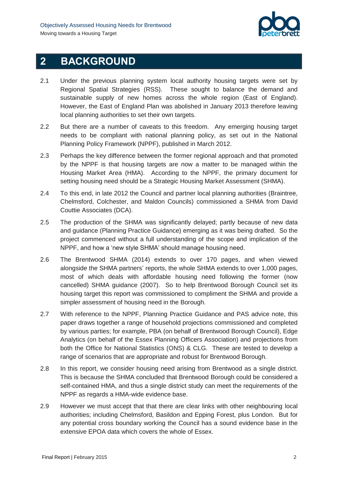

## <span id="page-7-0"></span>**2 BACKGROUND**

- 2.1 Under the previous planning system local authority housing targets were set by Regional Spatial Strategies (RSS). These sought to balance the demand and sustainable supply of new homes across the whole region (East of England). However, the East of England Plan was abolished in January 2013 therefore leaving local planning authorities to set their own targets.
- 2.2 But there are a number of caveats to this freedom. Any emerging housing target needs to be compliant with national planning policy, as set out in the National Planning Policy Framework (NPPF), published in March 2012.
- 2.3 Perhaps the key difference between the former regional approach and that promoted by the NPPF is that housing targets are now a matter to be managed within the Housing Market Area (HMA). According to the NPPF, the primary document for setting housing need should be a Strategic Housing Market Assessment (SHMA).
- 2.4 To this end, in late 2012 the Council and partner local planning authorities (Braintree, Chelmsford, Colchester, and Maldon Councils) commissioned a SHMA from David Couttie Associates (DCA).
- 2.5 The production of the SHMA was significantly delayed; partly because of new data and guidance (Planning Practice Guidance) emerging as it was being drafted. So the project commenced without a full understanding of the scope and implication of the NPPF, and how a 'new style SHMA' should manage housing need.
- 2.6 The Brentwood SHMA (2014) extends to over 170 pages, and when viewed alongside the SHMA partners' reports, the whole SHMA extends to over 1,000 pages, most of which deals with affordable housing need following the former (now cancelled) SHMA guidance (2007). So to help Brentwood Borough Council set its housing target this report was commissioned to compliment the SHMA and provide a simpler assessment of housing need in the Borough.
- 2.7 With reference to the NPPF, Planning Practice Guidance and PAS advice note, this paper draws together a range of household projections commissioned and completed by various parties; for example, PBA (on behalf of Brentwood Borough Council), Edge Analytics (on behalf of the Essex Planning Officers Association) and projections from both the Office for National Statistics (ONS) & CLG. These are tested to develop a range of scenarios that are appropriate and robust for Brentwood Borough.
- 2.8 In this report, we consider housing need arising from Brentwood as a single district. This is because the SHMA concluded that Brentwood Borough could be considered a self-contained HMA, and thus a single district study can meet the requirements of the NPPF as regards a HMA-wide evidence base.
- 2.9 However we must accept that that there are clear links with other neighbouring local authorities; including Chelmsford, Basildon and Epping Forest, plus London. But for any potential cross boundary working the Council has a sound evidence base in the extensive EPOA data which covers the whole of Essex.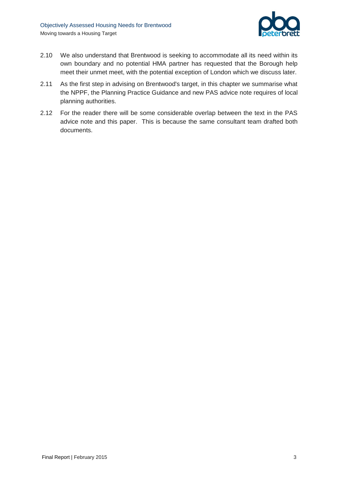

- 2.10 We also understand that Brentwood is seeking to accommodate all its need within its own boundary and no potential HMA partner has requested that the Borough help meet their unmet meet, with the potential exception of London which we discuss later.
- 2.11 As the first step in advising on Brentwood's target, in this chapter we summarise what the NPPF, the Planning Practice Guidance and new PAS advice note requires of local planning authorities.
- 2.12 For the reader there will be some considerable overlap between the text in the PAS advice note and this paper. This is because the same consultant team drafted both documents.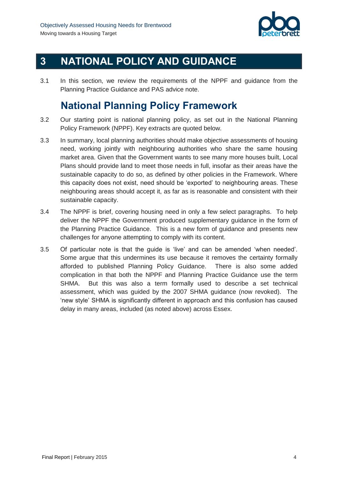

# <span id="page-9-0"></span>**3 NATIONAL POLICY AND GUIDANCE**

<span id="page-9-1"></span>3.1 In this section, we review the requirements of the NPPF and guidance from the Planning Practice Guidance and PAS advice note.

## **National Planning Policy Framework**

- 3.2 Our starting point is national planning policy, as set out in the National Planning Policy Framework (NPPF). Key extracts are quoted below.
- 3.3 In summary, local planning authorities should make objective assessments of housing need, working jointly with neighbouring authorities who share the same housing market area. Given that the Government wants to see many more houses built, Local Plans should provide land to meet those needs in full, insofar as their areas have the sustainable capacity to do so, as defined by other policies in the Framework. Where this capacity does not exist, need should be 'exported' to neighbouring areas. These neighbouring areas should accept it, as far as is reasonable and consistent with their sustainable capacity.
- 3.4 The NPPF is brief, covering housing need in only a few select paragraphs. To help deliver the NPPF the Government produced supplementary guidance in the form of the Planning Practice Guidance. This is a new form of guidance and presents new challenges for anyone attempting to comply with its content.
- 3.5 Of particular note is that the guide is 'live' and can be amended 'when needed'. Some argue that this undermines its use because it removes the certainty formally afforded to published Planning Policy Guidance. There is also some added complication in that both the NPPF and Planning Practice Guidance use the term SHMA. But this was also a term formally used to describe a set technical assessment, which was guided by the 2007 SHMA guidance (now revoked). The 'new style' SHMA is significantly different in approach and this confusion has caused delay in many areas, included (as noted above) across Essex.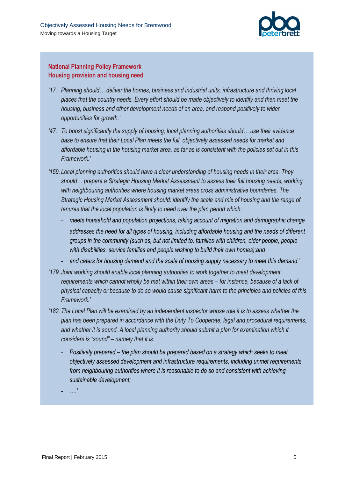

#### **National Planning Policy Framework Housing provision and housing need**

- *'17. Planning should… deliver the homes, business and industrial units, infrastructure and thriving local places that the country needs. Every effort should be made objectively to identify and then meet the housing, business and other development needs of an area, and respond positively to wider opportunities for growth.'*
- *'47. To boost significantly the supply of housing, local planning authorities should… use their evidence base to ensure that their Local Plan meets the full, objectively assessed needs for market and affordable housing in the housing market area, as far as is consistent with the policies set out in this Framework.'*
- *'159. Local planning authorities should have a clear understanding of housing needs in their area. They should… prepare a Strategic Housing Market Assessment to assess their full housing needs, working with neighbouring authorities where housing market areas cross administrative boundaries. The Strategic Housing Market Assessment should: identify the scale and mix of housing and the range of tenures that the local population is likely to need over the plan period which:*
	- *meets household and population projections, taking account of migration and demographic change*
	- *addresses the need for all types of housing, including affordable housing and the needs of different groups in the community (such as, but not limited to, families with children, older people, people with disabilities, service families and people wishing to build their own homes);and*
	- *and caters for housing demand and the scale of housing supply necessary to meet this demand.'*
- *'179. Joint working should enable local planning authorities to work together to meet development requirements which cannot wholly be met within their own areas – for instance, because of a lack of physical capacity or because to do so would cause significant harm to the principles and policies of this Framework.'*
- *'182. The Local Plan will be examined by an independent inspector whose role it is to assess whether the plan has been prepared in accordance with the Duty To Cooperate, legal and procedural requirements, and whether it is sound. A local planning authority should submit a plan for examination which it considers is "sound" – namely that it is:*
	- *Positively prepared – the plan should be prepared based on a strategy which seeks to meet objectively assessed development and infrastructure requirements, including unmet requirements from neighbouring authorities where it is reasonable to do so and consistent with achieving sustainable development;*
	- *….'*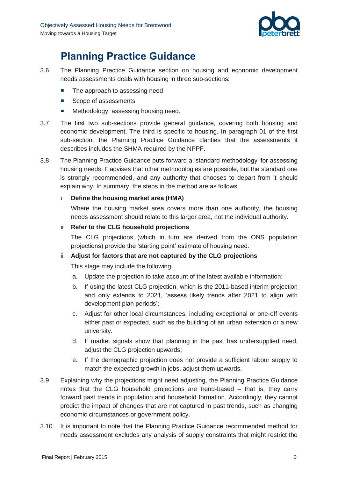

# **Planning Practice Guidance**

- <span id="page-11-0"></span>3.6 The Planning Practice Guidance section on housing and economic development needs assessments deals with housing in three sub-sections:
	- The approach to assessing need
	- Scope of assessments
	- **Methodology: assessing housing need.**
- 3.7 The first two sub-sections provide general guidance, covering both housing and economic development. The third is specific to housing. In paragraph 01 of the first sub-section, the Planning Practice Guidance clarifies that the assessments it describes includes the SHMA required by the NPPF.
- 3.8 The Planning Practice Guidance puts forward a 'standard methodology' for assessing housing needs. It advises that other methodologies are possible, but the standard one is strongly recommended, and any authority that chooses to depart from it should explain why. In summary, the steps in the method are as follows.
	- i **Define the housing market area (HMA)**

Where the housing market area covers more than one authority, the housing needs assessment should relate to this larger area, not the individual authority.

#### ii **Refer to the CLG household projections**

The CLG projections (which in turn are derived from the ONS population projections) provide the 'starting point' estimate of housing need.

#### iii **Adjust for factors that are not captured by the CLG projections**

This stage may include the following:

- a. Update the projection to take account of the latest available information;
- b. If using the latest CLG projection, which is the 2011-based interim projection and only extends to 2021, 'assess likely trends after 2021 to align with development plan periods';
- c. Adjust for other local circumstances, including exceptional or one-off events either past or expected, such as the building of an urban extension or a new university.
- d. If market signals show that planning in the past has undersupplied need, adjust the CLG projection upwards;
- e. If the demographic projection does not provide a sufficient labour supply to match the expected growth in jobs, adjust them upwards.
- 3.9 Explaining why the projections might need adjusting, the Planning Practice Guidance notes that the CLG household projections are trend-based – that is, they carry forward past trends in population and household formation. Accordingly, they cannot predict the impact of changes that are not captured in past trends, such as changing economic circumstances or government policy.
- 3.10 It is important to note that the Planning Practice Guidance recommended method for needs assessment excludes any analysis of supply constraints that might restrict the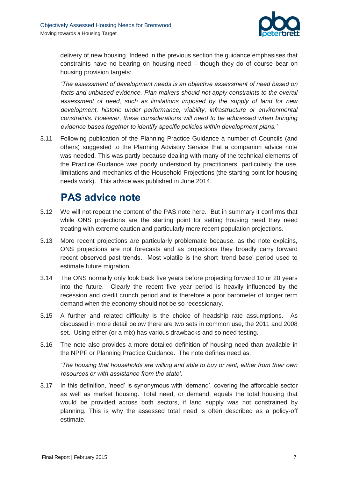

delivery of new housing. Indeed in the previous section the guidance emphasises that constraints have no bearing on housing need – though they do of course bear on housing provision targets:

*'The assessment of development needs is an objective assessment of need based on*  facts and *unbiased evidence. Plan makers should not apply constraints to the overall assessment of need, such as limitations imposed by the supply of land for new development, historic under performance, viability, infrastructure or environmental constraints. However, these considerations will need to be addressed when bringing evidence bases together to identify specific policies within development plans.'* 

3.11 Following publication of the Planning Practice Guidance a number of Councils (and others) suggested to the Planning Advisory Service that a companion advice note was needed. This was partly because dealing with many of the technical elements of the Practice Guidance was poorly understood by practitioners, particularly the use, limitations and mechanics of the Household Projections (the starting point for housing needs work). This advice was published in June 2014.

## **PAS advice note**

- <span id="page-12-0"></span>3.12 We will not repeat the content of the PAS note here. But in summary it confirms that while ONS projections are the starting point for setting housing need they need treating with extreme caution and particularly more recent population projections.
- 3.13 More recent projections are particularly problematic because, as the note explains, ONS projections are not forecasts and as projections they broadly carry forward recent observed past trends. Most volatile is the short 'trend base' period used to estimate future migration.
- 3.14 The ONS normally only look back five years before projecting forward 10 or 20 years into the future. Clearly the recent five year period is heavily influenced by the recession and credit crunch period and is therefore a poor barometer of longer term demand when the economy should not be so recessionary.
- 3.15 A further and related difficulty is the choice of headship rate assumptions. As discussed in more detail below there are two sets in common use, the 2011 and 2008 set. Using either (or a mix) has various drawbacks and so need testing.
- 3.16 The note also provides a more detailed definition of housing need than available in the NPPF or Planning Practice Guidance. The note defines need as:

*'The housing that households are willing and able to buy or rent, either from their own resources or with assistance from the state'.*

3.17 In this definition, 'need' is synonymous with 'demand', covering the affordable sector as well as market housing. Total need, or demand, equals the total housing that would be provided across both sectors, if land supply was not constrained by planning. This is why the assessed total need is often described as a policy-off estimate.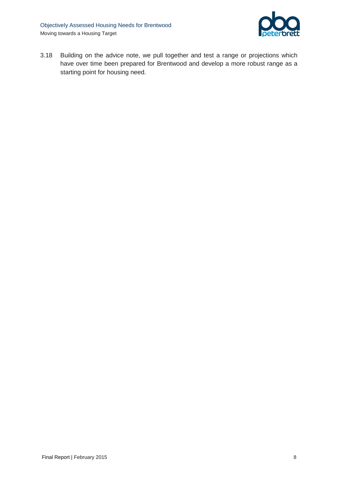

3.18 Building on the advice note, we pull together and test a range or projections which have over time been prepared for Brentwood and develop a more robust range as a starting point for housing need.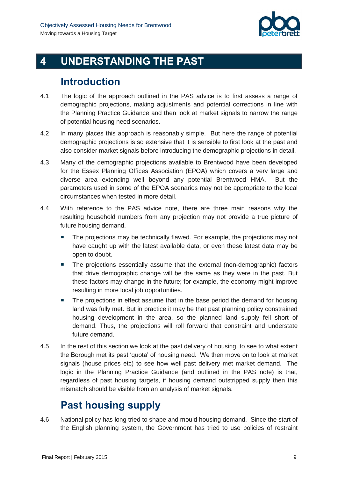

# <span id="page-14-0"></span>**4 UNDERSTANDING THE PAST**

## **Introduction**

- <span id="page-14-1"></span>4.1 The logic of the approach outlined in the PAS advice is to first assess a range of demographic projections, making adjustments and potential corrections in line with the Planning Practice Guidance and then look at market signals to narrow the range of potential housing need scenarios.
- 4.2 In many places this approach is reasonably simple. But here the range of potential demographic projections is so extensive that it is sensible to first look at the past and also consider market signals before introducing the demographic projections in detail.
- 4.3 Many of the demographic projections available to Brentwood have been developed for the Essex Planning Offices Association (EPOA) which covers a very large and diverse area extending well beyond any potential Brentwood HMA. But the parameters used in some of the EPOA scenarios may not be appropriate to the local circumstances when tested in more detail.
- 4.4 With reference to the PAS advice note, there are three main reasons why the resulting household numbers from any projection may not provide a true picture of future housing demand.
	- **The projections may be technically flawed. For example, the projections may not** have caught up with the latest available data, or even these latest data may be open to doubt.
	- The projections essentially assume that the external (non-demographic) factors that drive demographic change will be the same as they were in the past. But these factors may change in the future; for example, the economy might improve resulting in more local job opportunities.
	- The projections in effect assume that in the base period the demand for housing land was fully met. But in practice it may be that past planning policy constrained housing development in the area, so the planned land supply fell short of demand. Thus, the projections will roll forward that constraint and understate future demand.
- 4.5 In the rest of this section we look at the past delivery of housing, to see to what extent the Borough met its past 'quota' of housing need. We then move on to look at market signals (house prices etc) to see how well past delivery met market demand. The logic in the Planning Practice Guidance (and outlined in the PAS note) is that, regardless of past housing targets, if housing demand outstripped supply then this mismatch should be visible from an analysis of market signals.

# **Past housing supply**

<span id="page-14-2"></span>4.6 National policy has long tried to shape and mould housing demand. Since the start of the English planning system, the Government has tried to use policies of restraint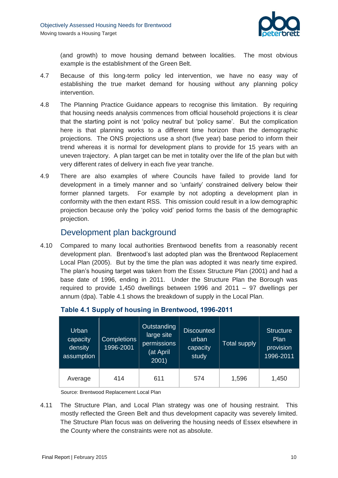

(and growth) to move housing demand between localities. The most obvious example is the establishment of the Green Belt.

- 4.7 Because of this long-term policy led intervention, we have no easy way of establishing the true market demand for housing without any planning policy intervention.
- 4.8 The Planning Practice Guidance appears to recognise this limitation. By requiring that housing needs analysis commences from official household projections it is clear that the starting point is not 'policy neutral' but 'policy same'. But the complication here is that planning works to a different time horizon than the demographic projections. The ONS projections use a short (five year) base period to inform their trend whereas it is normal for development plans to provide for 15 years with an uneven trajectory. A plan target can be met in totality over the life of the plan but with very different rates of delivery in each five year tranche.
- 4.9 There are also examples of where Councils have failed to provide land for development in a timely manner and so 'unfairly' constrained delivery below their former planned targets. For example by not adopting a development plan in conformity with the then extant RSS. This omission could result in a low demographic projection because only the 'policy void' period forms the basis of the demographic projection.

### Development plan background

4.10 Compared to many local authorities Brentwood benefits from a reasonably recent development plan. Brentwood's last adopted plan was the Brentwood Replacement Local Plan (2005). But by the time the plan was adopted it was nearly time expired. The plan's housing target was taken from the Essex Structure Plan (2001) and had a base date of 1996, ending in 2011. Under the Structure Plan the Borough was required to provide 1,450 dwellings between 1996 and 2011 – 97 dwellings per annum (dpa). Table 4.1 shows the breakdown of supply in the Local Plan.

| Urban<br>capacity<br>density<br>assumption | <b>Completions</b><br>1996-2001 | Outstanding<br>large site<br>permissions<br>(at April<br>2001) | <b>Discounted</b><br>urban<br>capacity<br>study | <b>Total supply</b> | <b>Structure</b><br>Plan<br>provision<br>1996-2011 |
|--------------------------------------------|---------------------------------|----------------------------------------------------------------|-------------------------------------------------|---------------------|----------------------------------------------------|
| Average                                    | 414                             | 611                                                            | 574                                             | 1,596               | 1,450                                              |

#### <span id="page-15-0"></span>**Table 4.1 Supply of housing in Brentwood, 1996-2011**

Source: Brentwood Replacement Local Plan

4.11 The Structure Plan, and Local Plan strategy was one of housing restraint. This mostly reflected the Green Belt and thus development capacity was severely limited. The Structure Plan focus was on delivering the housing needs of Essex elsewhere in the County where the constraints were not as absolute.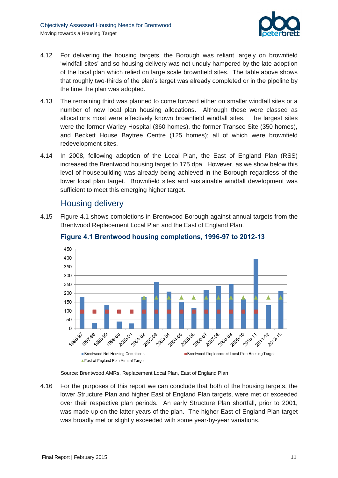

- 4.12 For delivering the housing targets, the Borough was reliant largely on brownfield 'windfall sites' and so housing delivery was not unduly hampered by the late adoption of the local plan which relied on large scale brownfield sites. The table above shows that roughly two-thirds of the plan's target was already completed or in the pipeline by the time the plan was adopted.
- 4.13 The remaining third was planned to come forward either on smaller windfall sites or a number of new local plan housing allocations. Although these were classed as allocations most were effectively known brownfield windfall sites. The largest sites were the former Warley Hospital (360 homes), the former Transco Site (350 homes), and Beckett House Baytree Centre (125 homes); all of which were brownfield redevelopment sites.
- 4.14 In 2008, following adoption of the Local Plan, the East of England Plan (RSS) increased the Brentwood housing target to 175 dpa. However, as we show below this level of housebuilding was already being achieved in the Borough regardless of the lower local plan target. Brownfield sites and sustainable windfall development was sufficient to meet this emerging higher target.

### Housing delivery

<span id="page-16-0"></span>4.15 Figure 4.1 shows completions in Brentwood Borough against annual targets from the Brentwood Replacement Local Plan and the East of England Plan.



#### **Figure 4.1 Brentwood housing completions, 1996-97 to 2012-13**

Source: Brentwood AMRs, Replacement Local Plan, East of England Plan

4.16 For the purposes of this report we can conclude that both of the housing targets, the lower Structure Plan and higher East of England Plan targets, were met or exceeded over their respective plan periods. An early Structure Plan shortfall, prior to 2001, was made up on the latter years of the plan. The higher East of England Plan target was broadly met or slightly exceeded with some year-by-year variations.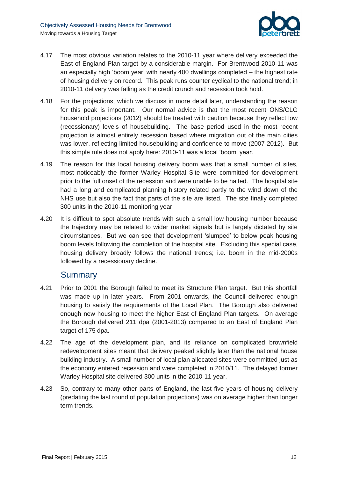

- 4.17 The most obvious variation relates to the 2010-11 year where delivery exceeded the East of England Plan target by a considerable margin. For Brentwood 2010-11 was an especially high 'boom year' with nearly 400 dwellings completed – the highest rate of housing delivery on record. This peak runs counter cyclical to the national trend; in 2010-11 delivery was falling as the credit crunch and recession took hold.
- 4.18 For the projections, which we discuss in more detail later, understanding the reason for this peak is important. Our normal advice is that the most recent ONS/CLG household projections (2012) should be treated with caution because they reflect low (recessionary) levels of housebuilding. The base period used in the most recent projection is almost entirely recession based where migration out of the main cities was lower, reflecting limited housebuilding and confidence to move (2007-2012). But this simple rule does not apply here: 2010-11 was a local 'boom' year.
- 4.19 The reason for this local housing delivery boom was that a small number of sites, most noticeably the former Warley Hospital Site were committed for development prior to the full onset of the recession and were unable to be halted. The hospital site had a long and complicated planning history related partly to the wind down of the NHS use but also the fact that parts of the site are listed. The site finally completed 300 units in the 2010-11 monitoring year.
- 4.20 It is difficult to spot absolute trends with such a small low housing number because the trajectory may be related to wider market signals but is largely dictated by site circumstances. But we can see that development 'slumped' to below peak housing boom levels following the completion of the hospital site. Excluding this special case, housing delivery broadly follows the national trends; i.e. boom in the mid-2000s followed by a recessionary decline.

### **Summary**

- 4.21 Prior to 2001 the Borough failed to meet its Structure Plan target. But this shortfall was made up in later years. From 2001 onwards, the Council delivered enough housing to satisfy the requirements of the Local Plan. The Borough also delivered enough new housing to meet the higher East of England Plan targets. On average the Borough delivered 211 dpa (2001-2013) compared to an East of England Plan target of 175 dpa.
- 4.22 The age of the development plan, and its reliance on complicated brownfield redevelopment sites meant that delivery peaked slightly later than the national house building industry. A small number of local plan allocated sites were committed just as the economy entered recession and were completed in 2010/11. The delayed former Warley Hospital site delivered 300 units in the 2010-11 year.
- 4.23 So, contrary to many other parts of England, the last five years of housing delivery (predating the last round of population projections) was on average higher than longer term trends.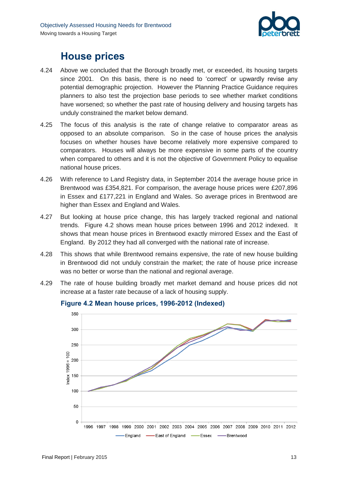

## **House prices**

- <span id="page-18-0"></span>4.24 Above we concluded that the Borough broadly met, or exceeded, its housing targets since 2001. On this basis, there is no need to 'correct' or upwardly revise any potential demographic projection. However the Planning Practice Guidance requires planners to also test the projection base periods to see whether market conditions have worsened; so whether the past rate of housing delivery and housing targets has unduly constrained the market below demand.
- 4.25 The focus of this analysis is the rate of change relative to comparator areas as opposed to an absolute comparison. So in the case of house prices the analysis focuses on whether houses have become relatively more expensive compared to comparators. Houses will always be more expensive in some parts of the country when compared to others and it is not the objective of Government Policy to equalise national house prices.
- 4.26 With reference to Land Registry data, in September 2014 the average house price in Brentwood was £354,821. For comparison, the average house prices were £207,896 in Essex and £177,221 in England and Wales. So average prices in Brentwood are higher than Essex and England and Wales.
- 4.27 But looking at house price change, this has largely tracked regional and national trends. Figure 4.2 shows mean house prices between 1996 and 2012 indexed. It shows that mean house prices in Brentwood exactly mirrored Essex and the East of England. By 2012 they had all converged with the national rate of increase.
- 4.28 This shows that while Brentwood remains expensive, the rate of new house building in Brentwood did not unduly constrain the market; the rate of house price increase was no better or worse than the national and regional average.
- <span id="page-18-1"></span>4.29 The rate of house building broadly met market demand and house prices did not increase at a faster rate because of a lack of housing supply.



#### **Figure 4.2 Mean house prices, 1996-2012 (Indexed)**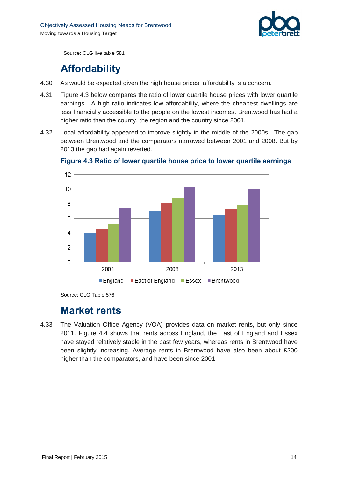

Source: CLG live table 581

# **Affordability**

- <span id="page-19-0"></span>4.30 As would be expected given the high house prices, affordability is a concern.
- 4.31 Figure 4.3 below compares the ratio of lower quartile house prices with lower quartile earnings. A high ratio indicates low affordability, where the cheapest dwellings are less financially accessible to the people on the lowest incomes. Brentwood has had a higher ratio than the county, the region and the country since 2001.
- 4.32 Local affordability appeared to improve slightly in the middle of the 2000s. The gap between Brentwood and the comparators narrowed between 2001 and 2008. But by 2013 the gap had again reverted.



<span id="page-19-2"></span>**Figure 4.3 Ratio of lower quartile house price to lower quartile earnings**

## **Market rents**

<span id="page-19-1"></span>4.33 The Valuation Office Agency (VOA) provides data on market rents, but only since 2011. Figure 4.4 shows that rents across England, the East of England and Essex have stayed relatively stable in the past few years, whereas rents in Brentwood have been slightly increasing. Average rents in Brentwood have also been about £200 higher than the comparators, and have been since 2001.

Source: CLG Table 576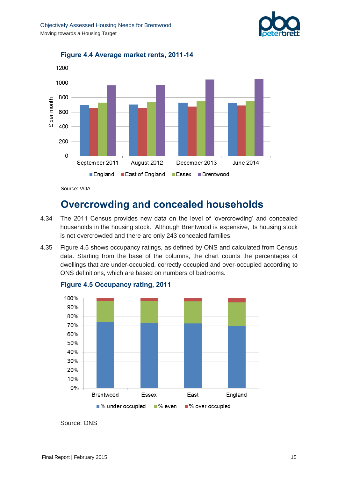

<span id="page-20-1"></span>

**Figure 4.4 Average market rents, 2011-14**

Source: VOA

## **Overcrowding and concealed households**

- <span id="page-20-0"></span>4.34 The 2011 Census provides new data on the level of 'overcrowding' and concealed households in the housing stock. Although Brentwood is expensive, its housing stock is not overcrowded and there are only 243 concealed families.
- 4.35 Figure 4.5 shows occupancy ratings, as defined by ONS and calculated from Census data. Starting from the base of the columns, the chart counts the percentages of dwellings that are under-occupied, correctly occupied and over-occupied according to ONS definitions, which are based on numbers of bedrooms.



#### <span id="page-20-2"></span>**Figure 4.5 Occupancy rating, 2011**

Source: ONS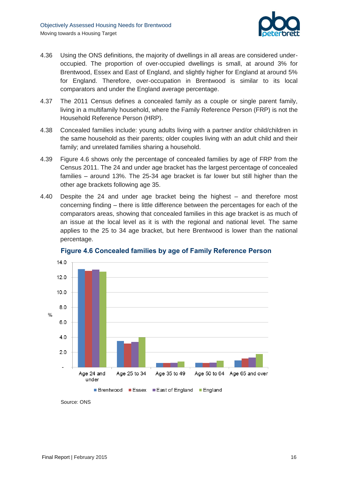

- 4.36 Using the ONS definitions, the majority of dwellings in all areas are considered underoccupied. The proportion of over-occupied dwellings is small, at around 3% for Brentwood, Essex and East of England, and slightly higher for England at around 5% for England. Therefore, over-occupation in Brentwood is similar to its local comparators and under the England average percentage.
- 4.37 The 2011 Census defines a concealed family as a couple or single parent family, living in a multifamily household, where the Family Reference Person (FRP) is not the Household Reference Person (HRP).
- 4.38 Concealed families include: young adults living with a partner and/or child/children in the same household as their parents; older couples living with an adult child and their family; and unrelated families sharing a household.
- 4.39 Figure 4.6 shows only the percentage of concealed families by age of FRP from the Census 2011. The 24 and under age bracket has the largest percentage of concealed families – around 13%. The 25-34 age bracket is far lower but still higher than the other age brackets following age 35.
- 4.40 Despite the 24 and under age bracket being the highest and therefore most concerning finding – there is little difference between the percentages for each of the comparators areas, showing that concealed families in this age bracket is as much of an issue at the local level as it is with the regional and national level. The same applies to the 25 to 34 age bracket, but here Brentwood is lower than the national percentage.

<span id="page-21-0"></span>

**Figure 4.6 Concealed families by age of Family Reference Person**

Source: ONS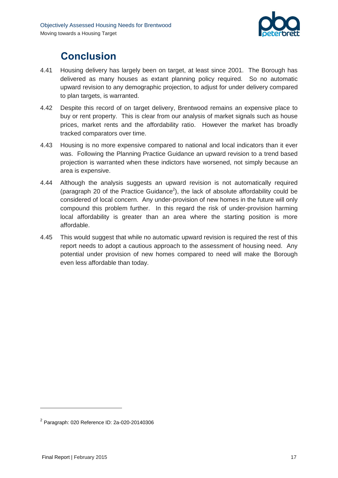

# **Conclusion**

- <span id="page-22-0"></span>4.41 Housing delivery has largely been on target, at least since 2001. The Borough has delivered as many houses as extant planning policy required. So no automatic upward revision to any demographic projection, to adjust for under delivery compared to plan targets, is warranted.
- 4.42 Despite this record of on target delivery, Brentwood remains an expensive place to buy or rent property. This is clear from our analysis of market signals such as house prices, market rents and the affordability ratio. However the market has broadly tracked comparators over time.
- 4.43 Housing is no more expensive compared to national and local indicators than it ever was. Following the Planning Practice Guidance an upward revision to a trend based projection is warranted when these indictors have worsened, not simply because an area is expensive.
- 4.44 Although the analysis suggests an upward revision is not automatically required (paragraph 20 of the Practice Guidance<sup>2</sup>), the lack of absolute affordability could be considered of local concern. Any under-provision of new homes in the future will only compound this problem further. In this regard the risk of under-provision harming local affordability is greater than an area where the starting position is more affordable.
- 4.45 This would suggest that while no automatic upward revision is required the rest of this report needs to adopt a cautious approach to the assessment of housing need. Any potential under provision of new homes compared to need will make the Borough even less affordable than today.

 $\overline{a}$ 

 $^{2}$  Paragraph: 020 Reference ID: 2a-020-20140306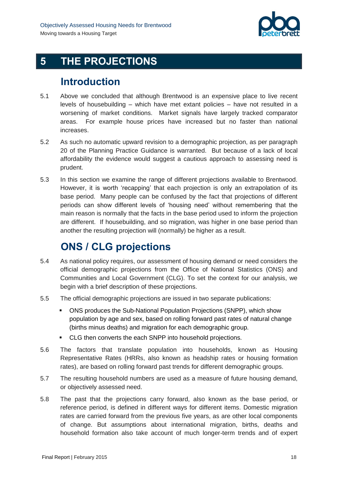

# <span id="page-23-0"></span>**5 THE PROJECTIONS**

## **Introduction**

- <span id="page-23-1"></span>5.1 Above we concluded that although Brentwood is an expensive place to live recent levels of housebuilding – which have met extant policies – have not resulted in a worsening of market conditions. Market signals have largely tracked comparator areas. For example house prices have increased but no faster than national increases.
- 5.2 As such no automatic upward revision to a demographic projection, as per paragraph 20 of the Planning Practice Guidance is warranted. But because of a lack of local affordability the evidence would suggest a cautious approach to assessing need is prudent.
- 5.3 In this section we examine the range of different projections available to Brentwood. However, it is worth 'recapping' that each projection is only an extrapolation of its base period. Many people can be confused by the fact that projections of different periods can show different levels of 'housing need' without remembering that the main reason is normally that the facts in the base period used to inform the projection are different. If housebuilding, and so migration, was higher in one base period than another the resulting projection will (normally) be higher as a result.

# **ONS / CLG projections**

- <span id="page-23-2"></span>5.4 As national policy requires, our assessment of housing demand or need considers the official demographic projections from the Office of National Statistics (ONS) and Communities and Local Government (CLG). To set the context for our analysis, we begin with a brief description of these projections.
- 5.5 The official demographic projections are issued in two separate publications:
	- ONS produces the Sub-National Population Projections (SNPP), which show population by age and sex, based on rolling forward past rates of natural change (births minus deaths) and migration for each demographic group.
	- CLG then converts the each SNPP into household projections.
- 5.6 The factors that translate population into households, known as Housing Representative Rates (HRRs, also known as headship rates or housing formation rates), are based on rolling forward past trends for different demographic groups.
- 5.7 The resulting household numbers are used as a measure of future housing demand, or objectively assessed need.
- 5.8 The past that the projections carry forward, also known as the base period, or reference period, is defined in different ways for different items. Domestic migration rates are carried forward from the previous five years, as are other local components of change. But assumptions about international migration, births, deaths and household formation also take account of much longer-term trends and of expert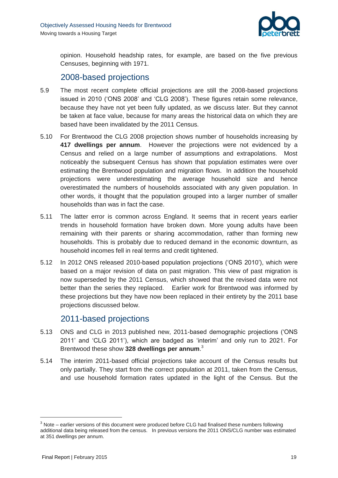

opinion. Household headship rates, for example, are based on the five previous Censuses, beginning with 1971.

### 2008-based projections

- 5.9 The most recent complete official projections are still the 2008-based projections issued in 2010 ('ONS 2008' and 'CLG 2008'). These figures retain some relevance, because they have not yet been fully updated, as we discuss later. But they cannot be taken at face value, because for many areas the historical data on which they are based have been invalidated by the 2011 Census.
- 5.10 For Brentwood the CLG 2008 projection shows number of households increasing by **417 dwellings per annum**. However the projections were not evidenced by a Census and relied on a large number of assumptions and extrapolations. Most noticeably the subsequent Census has shown that population estimates were over estimating the Brentwood population and migration flows. In addition the household projections were underestimating the average household size and hence overestimated the numbers of households associated with any given population. In other words, it thought that the population grouped into a larger number of smaller households than was in fact the case.
- 5.11 The latter error is common across England. It seems that in recent years earlier trends in household formation have broken down. More young adults have been remaining with their parents or sharing accommodation, rather than forming new households. This is probably due to reduced demand in the economic downturn, as household incomes fell in real terms and credit tightened.
- 5.12 In 2012 ONS released 2010-based population projections ('ONS 2010'), which were based on a major revision of data on past migration. This view of past migration is now superseded by the 2011 Census, which showed that the revised data were not better than the series they replaced. Earlier work for Brentwood was informed by these projections but they have now been replaced in their entirety by the 2011 base projections discussed below.

### 2011-based projections

- 5.13 ONS and CLG in 2013 published new, 2011-based demographic projections ('ONS 2011' and 'CLG 2011'), which are badged as 'interim' and only run to 2021. For Brentwood these show **328 dwellings per annum**. 3
- 5.14 The interim 2011-based official projections take account of the Census results but only partially. They start from the correct population at 2011, taken from the Census, and use household formation rates updated in the light of the Census. But the

l

 $3$  Note – earlier versions of this document were produced before CLG had finalised these numbers following additional data being released from the census. In previous versions the 2011 ONS/CLG number was estimated at 351 dwellings per annum.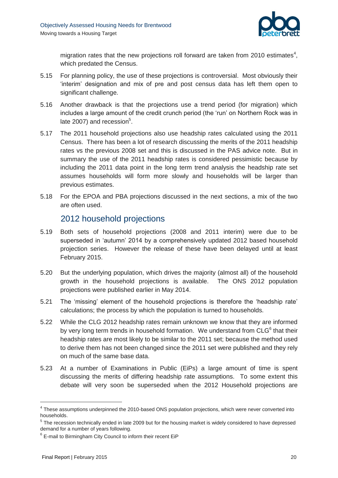

migration rates that the new projections roll forward are taken from 2010 estimates<sup>4</sup>, which predated the Census.

- 5.15 For planning policy, the use of these projections is controversial. Most obviously their 'interim' designation and mix of pre and post census data has left them open to significant challenge.
- 5.16 Another drawback is that the projections use a trend period (for migration) which includes a large amount of the credit crunch period (the 'run' on Northern Rock was in late 2007) and recession<sup>5</sup>.
- 5.17 The 2011 household projections also use headship rates calculated using the 2011 Census. There has been a lot of research discussing the merits of the 2011 headship rates vs the previous 2008 set and this is discussed in the PAS advice note. But in summary the use of the 2011 headship rates is considered pessimistic because by including the 2011 data point in the long term trend analysis the headship rate set assumes households will form more slowly and households will be larger than previous estimates.
- 5.18 For the EPOA and PBA projections discussed in the next sections, a mix of the two are often used.

### 2012 household projections

- 5.19 Both sets of household projections (2008 and 2011 interim) were due to be superseded in 'autumn' 2014 by a comprehensively updated 2012 based household projection series. However the release of these have been delayed until at least February 2015.
- 5.20 But the underlying population, which drives the majority (almost all) of the household growth in the household projections is available. The ONS 2012 population projections were published earlier in May 2014.
- 5.21 The 'missing' element of the household projections is therefore the 'headship rate' calculations; the process by which the population is turned to households.
- 5.22 While the CLG 2012 headship rates remain unknown we know that they are informed by very long term trends in household formation. We understand from CLG<sup>6</sup> that their headship rates are most likely to be similar to the 2011 set; because the method used to derive them has not been changed since the 2011 set were published and they rely on much of the same base data.
- 5.23 At a number of Examinations in Public (EiPs) a large amount of time is spent discussing the merits of differing headship rate assumptions. To some extent this debate will very soon be superseded when the 2012 Household projections are

 $\overline{a}$ 

<sup>&</sup>lt;sup>4</sup> These assumptions underpinned the 2010-based ONS population projections, which were never converted into households.

 $5$  The recession technically ended in late 2009 but for the housing market is widely considered to have depressed demand for a number of years following.

<sup>&</sup>lt;sup>6</sup> E-mail to Birmingham City Council to inform their recent EiP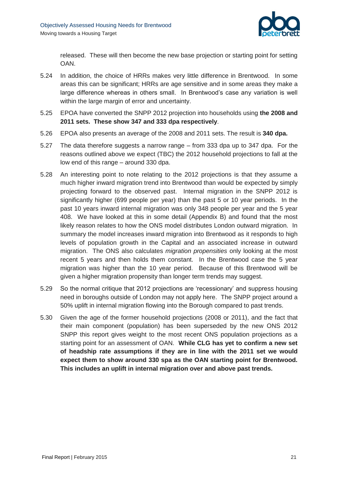

released. These will then become the new base projection or starting point for setting OAN.

- 5.24 In addition, the choice of HRRs makes very little difference in Brentwood. In some areas this can be significant; HRRs are age sensitive and in some areas they make a large difference whereas in others small. In Brentwood's case any variation is well within the large margin of error and uncertainty.
- 5.25 EPOA have converted the SNPP 2012 projection into households using **the 2008 and 2011 sets. These show 347 and 333 dpa respectively**.
- 5.26 EPOA also presents an average of the 2008 and 2011 sets. The result is **340 dpa.**
- 5.27 The data therefore suggests a narrow range from 333 dpa up to 347 dpa. For the reasons outlined above we expect (TBC) the 2012 household projections to fall at the low end of this range – around 330 dpa.
- 5.28 An interesting point to note relating to the 2012 projections is that they assume a much higher inward migration trend into Brentwood than would be expected by simply projecting forward to the observed past. Internal migration in the SNPP 2012 is significantly higher (699 people per year) than the past 5 or 10 year periods. In the past 10 years inward internal migration was only 348 people per year and the 5 year 408. We have looked at this in some detail (Appendix B) and found that the most likely reason relates to how the ONS model distributes London outward migration. In summary the model increases inward migration into Brentwood as it responds to high levels of population growth in the Capital and an associated increase in outward migration. The ONS also calculates *migration propensities* only looking at the most recent 5 years and then holds them constant. In the Brentwood case the 5 year migration was higher than the 10 year period. Because of this Brentwood will be given a higher migration propensity than longer term trends may suggest.
- 5.29 So the normal critique that 2012 projections are 'recessionary' and suppress housing need in boroughs outside of London may not apply here. The SNPP project around a 50% uplift in internal migration flowing into the Borough compared to past trends.
- 5.30 Given the age of the former household projections (2008 or 2011), and the fact that their main component (population) has been superseded by the new ONS 2012 SNPP this report gives weight to the most recent ONS population projections as a starting point for an assessment of OAN. **While CLG has yet to confirm a new set of headship rate assumptions if they are in line with the 2011 set we would expect them to show around 330 spa as the OAN starting point for Brentwood. This includes an uplift in internal migration over and above past trends.**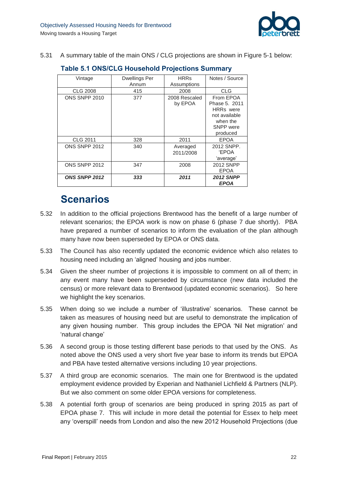

<span id="page-27-1"></span>5.31 A summary table of the main ONS / CLG projections are shown in Figure 5-1 below:

| Vintage         | <b>Dwellings Per</b><br>Annum | <b>HRRs</b><br>Assumptions | Notes / Source                                                                                       |
|-----------------|-------------------------------|----------------------------|------------------------------------------------------------------------------------------------------|
| <b>CLG 2008</b> | 415                           | 2008                       | <b>CLG</b>                                                                                           |
| ONS SNPP 2010   | 377                           | 2008 Rescaled<br>by EPOA   | From EPOA<br>Phase 5, 2011<br><b>HRRs</b> were<br>not available<br>when the<br>SNPP were<br>produced |
| <b>CLG 2011</b> | 328                           | 2011                       | <b>EPOA</b>                                                                                          |
| ONS SNPP 2012   | 340                           | Averaged<br>2011/2008      | 2012 SNPP.<br><b>EPOA</b><br>'average'                                                               |
| ONS SNPP 2012   | 347                           | 2008                       | 2012 SNPP<br><b>EPOA</b>                                                                             |
| ONS SNPP 2012   | 333                           | 2011                       | <b>2012 SNPP</b><br><b>EPOA</b>                                                                      |

### **Table 5.1 ONS/CLG Household Projections Summary**

## <span id="page-27-0"></span>**Scenarios**

- 5.32 In addition to the official projections Brentwood has the benefit of a large number of relevant scenarios; the EPOA work is now on phase 6 (phase 7 due shortly). PBA have prepared a number of scenarios to inform the evaluation of the plan although many have now been superseded by EPOA or ONS data.
- 5.33 The Council has also recently updated the economic evidence which also relates to housing need including an 'aligned' housing and jobs number.
- 5.34 Given the sheer number of projections it is impossible to comment on all of them; in any event many have been superseded by circumstance (new data included the census) or more relevant data to Brentwood (updated economic scenarios). So here we highlight the key scenarios.
- 5.35 When doing so we include a number of 'illustrative' scenarios. These cannot be taken as measures of housing need but are useful to demonstrate the implication of any given housing number. This group includes the EPOA 'Nil Net migration' and 'natural change'
- 5.36 A second group is those testing different base periods to that used by the ONS. As noted above the ONS used a very short five year base to inform its trends but EPOA and PBA have tested alternative versions including 10 year projections.
- 5.37 A third group are economic scenarios. The main one for Brentwood is the updated employment evidence provided by Experian and Nathaniel Lichfield & Partners (NLP). But we also comment on some older EPOA versions for completeness.
- 5.38 A potential forth group of scenarios are being produced in spring 2015 as part of EPOA phase 7. This will include in more detail the potential for Essex to help meet any 'overspill' needs from London and also the new 2012 Household Projections (due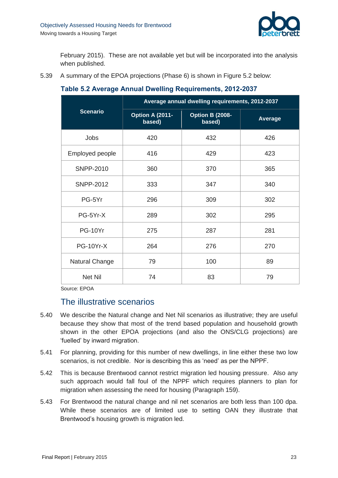

February 2015). These are not available yet but will be incorporated into the analysis when published.

<span id="page-28-0"></span>5.39 A summary of the EPOA projections (Phase 6) is shown in Figure 5.2 below:

### **Table 5.2 Average Annual Dwelling Requirements, 2012-2037**

|                  | Average annual dwelling requirements, 2012-2037 |                                  |                |  |
|------------------|-------------------------------------------------|----------------------------------|----------------|--|
| <b>Scenario</b>  | <b>Option A (2011-</b><br>based)                | <b>Option B (2008-</b><br>based) | <b>Average</b> |  |
| Jobs             | 420                                             | 432                              | 426            |  |
| Employed people  | 416                                             | 429                              | 423            |  |
| <b>SNPP-2010</b> | 360                                             | 370                              | 365            |  |
| <b>SNPP-2012</b> | 333                                             | 347                              | 340            |  |
| PG-5Yr           | 296                                             | 309                              | 302            |  |
| PG-5Yr-X         | 289                                             | 302                              | 295            |  |
| <b>PG-10Yr</b>   | 275                                             | 287                              | 281            |  |
| <b>PG-10Yr-X</b> | 264                                             | 276                              | 270            |  |
| Natural Change   | 79                                              | 100                              | 89             |  |
| Net Nil          | 74                                              | 83                               | 79             |  |

Source: EPOA

### The illustrative scenarios

- 5.40 We describe the Natural change and Net Nil scenarios as illustrative; they are useful because they show that most of the trend based population and household growth shown in the other EPOA projections (and also the ONS/CLG projections) are 'fuelled' by inward migration.
- 5.41 For planning, providing for this number of new dwellings, in line either these two low scenarios, is not credible. Nor is describing this as 'need' as per the NPPF.
- 5.42 This is because Brentwood cannot restrict migration led housing pressure. Also any such approach would fall foul of the NPPF which requires planners to plan for migration when assessing the need for housing (Paragraph 159).
- 5.43 For Brentwood the natural change and nil net scenarios are both less than 100 dpa. While these scenarios are of limited use to setting OAN they illustrate that Brentwood's housing growth is migration led.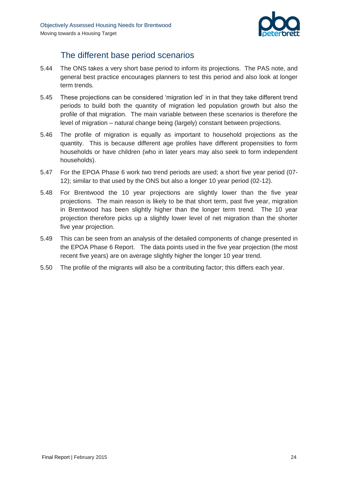

## The different base period scenarios

- 5.44 The ONS takes a very short base period to inform its projections. The PAS note, and general best practice encourages planners to test this period and also look at longer term trends.
- 5.45 These projections can be considered 'migration led' in in that they take different trend periods to build both the quantity of migration led population growth but also the profile of that migration. The main variable between these scenarios is therefore the level of migration – natural change being (largely) constant between projections.
- 5.46 The profile of migration is equally as important to household projections as the quantity. This is because different age profiles have different propensities to form households or have children (who in later years may also seek to form independent households).
- 5.47 For the EPOA Phase 6 work two trend periods are used; a short five year period (07- 12); similar to that used by the ONS but also a longer 10 year period (02-12).
- 5.48 For Brentwood the 10 year projections are slightly lower than the five year projections. The main reason is likely to be that short term, past five year, migration in Brentwood has been slightly higher than the longer term trend. The 10 year projection therefore picks up a slightly lower level of net migration than the shorter five year projection.
- 5.49 This can be seen from an analysis of the detailed components of change presented in the EPOA Phase 6 Report. The data points used in the five year projection (the most recent five years) are on average slightly higher the longer 10 year trend.
- 5.50 The profile of the migrants will also be a contributing factor; this differs each year.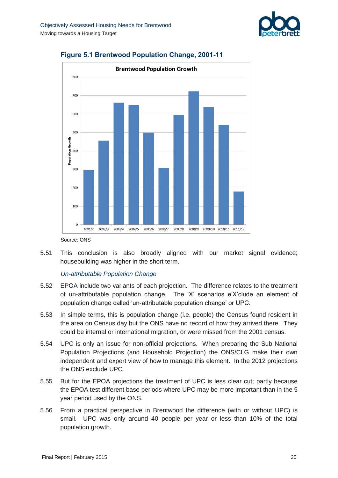



#### <span id="page-30-0"></span>**Figure 5.1 Brentwood Population Change, 2001-11**

Source: ONS

5.51 This conclusion is also broadly aligned with our market signal evidence; housebuilding was higher in the short term.

#### *Un-attributable Population Change*

- 5.52 EPOA include two variants of each projection. The difference relates to the treatment of un-attributable population change. The 'X' scenarios e'X'clude an element of population change called 'un-attributable population change' or UPC.
- 5.53 In simple terms, this is population change (i.e. people) the Census found resident in the area on Census day but the ONS have no record of how they arrived there. They could be internal or international migration, or were missed from the 2001 census.
- 5.54 UPC is only an issue for non-official projections. When preparing the Sub National Population Projections (and Household Projection) the ONS/CLG make their own independent and expert view of how to manage this element. In the 2012 projections the ONS exclude UPC.
- 5.55 But for the EPOA projections the treatment of UPC is less clear cut; partly because the EPOA test different base periods where UPC may be more important than in the 5 year period used by the ONS.
- 5.56 From a practical perspective in Brentwood the difference (with or without UPC) is small. UPC was only around 40 people per year or less than 10% of the total population growth.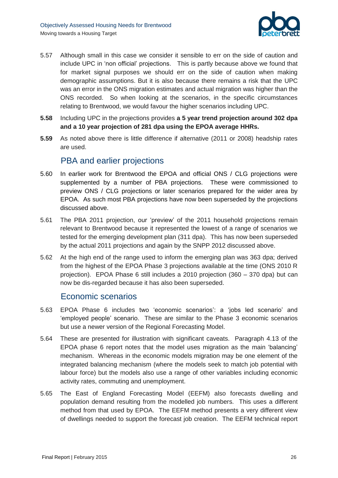

- 5.57 Although small in this case we consider it sensible to err on the side of caution and include UPC in 'non official' projections. This is partly because above we found that for market signal purposes we should err on the side of caution when making demographic assumptions. But it is also because there remains a risk that the UPC was an error in the ONS migration estimates and actual migration was higher than the ONS recorded. So when looking at the scenarios, in the specific circumstances relating to Brentwood, we would favour the higher scenarios including UPC.
- **5.58** Including UPC in the projections provides **a 5 year trend projection around 302 dpa and a 10 year projection of 281 dpa using the EPOA average HHRs.**
- **5.59** As noted above there is little difference if alternative (2011 or 2008) headship rates are used.

### PBA and earlier projections

- 5.60 In earlier work for Brentwood the EPOA and official ONS / CLG projections were supplemented by a number of PBA projections. These were commissioned to preview ONS / CLG projections or later scenarios prepared for the wider area by EPOA. As such most PBA projections have now been superseded by the projections discussed above.
- 5.61 The PBA 2011 projection, our 'preview' of the 2011 household projections remain relevant to Brentwood because it represented the lowest of a range of scenarios we tested for the emerging development plan (311 dpa). This has now been superseded by the actual 2011 projections and again by the SNPP 2012 discussed above.
- 5.62 At the high end of the range used to inform the emerging plan was 363 dpa; derived from the highest of the EPOA Phase 3 projections available at the time (ONS 2010 R projection). EPOA Phase 6 still includes a 2010 projection (360 – 370 dpa) but can now be dis-regarded because it has also been superseded.

### Economic scenarios

- 5.63 EPOA Phase 6 includes two 'economic scenarios': a 'jobs led scenario' and 'employed people' scenario. These are similar to the Phase 3 economic scenarios but use a newer version of the Regional Forecasting Model.
- 5.64 These are presented for illustration with significant caveats. Paragraph 4.13 of the EPOA phase 6 report notes that the model uses migration as the main 'balancing' mechanism. Whereas in the economic models migration may be one element of the integrated balancing mechanism (where the models seek to match job potential with labour force) but the models also use a range of other variables including economic activity rates, commuting and unemployment.
- 5.65 The East of England Forecasting Model (EEFM) also forecasts dwelling and population demand resulting from the modelled job numbers. This uses a different method from that used by EPOA. The EEFM method presents a very different view of dwellings needed to support the forecast job creation. The EEFM technical report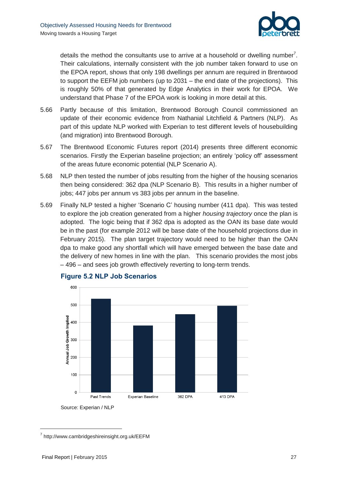

details the method the consultants use to arrive at a household or dwelling number<sup>7</sup>. Their calculations, internally consistent with the job number taken forward to use on the EPOA report, shows that only 198 dwellings per annum are required in Brentwood to support the EEFM job numbers (up to 2031 – the end date of the projections). This is roughly 50% of that generated by Edge Analytics in their work for EPOA. We understand that Phase 7 of the EPOA work is looking in more detail at this.

- 5.66 Partly because of this limitation, Brentwood Borough Council commissioned an update of their economic evidence from Nathanial Litchfield & Partners (NLP). As part of this update NLP worked with Experian to test different levels of housebuilding (and migration) into Brentwood Borough.
- 5.67 The Brentwood Economic Futures report (2014) presents three different economic scenarios. Firstly the Experian baseline projection; an entirely 'policy off' assessment of the areas future economic potential (NLP Scenario A).
- 5.68 NLP then tested the number of jobs resulting from the higher of the housing scenarios then being considered: 362 dpa (NLP Scenario B). This results in a higher number of jobs; 447 jobs per annum vs 383 jobs per annum in the baseline.
- 5.69 Finally NLP tested a higher 'Scenario C' housing number (411 dpa). This was tested to explore the job creation generated from a higher *housing trajectory* once the plan is adopted. The logic being that if 362 dpa is adopted as the OAN its base date would be in the past (for example 2012 will be base date of the household projections due in February 2015). The plan target trajectory would need to be higher than the OAN dpa to make good any shortfall which will have emerged between the base date and the delivery of new homes in line with the plan. This scenario provides the most jobs – 496 – and sees job growth effectively reverting to long-term trends.



#### <span id="page-32-0"></span>**Figure 5.2 NLP Job Scenarios**

l

Source: Experian / NLP

<sup>&</sup>lt;sup>7</sup> http://www.cambridgeshireinsight.org.uk/EEFM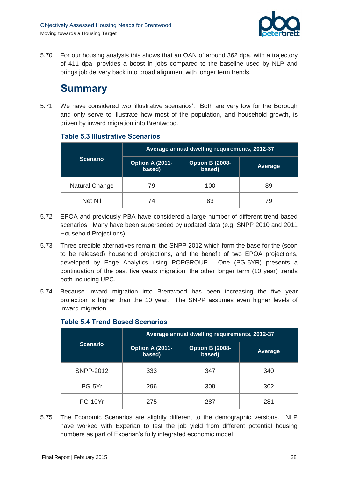

5.70 For our housing analysis this shows that an OAN of around 362 dpa, with a trajectory of 411 dpa, provides a boost in jobs compared to the baseline used by NLP and brings job delivery back into broad alignment with longer term trends.

## <span id="page-33-0"></span>**Summary**

5.71 We have considered two 'illustrative scenarios'. Both are very low for the Borough and only serve to illustrate how most of the population, and household growth, is driven by inward migration into Brentwood.

|                       | Average annual dwelling requirements, 2012-37 |                                  |         |  |
|-----------------------|-----------------------------------------------|----------------------------------|---------|--|
| <b>Scenario</b>       | <b>Option A (2011-</b><br>based)              | <b>Option B (2008-</b><br>based) | Average |  |
| <b>Natural Change</b> | 79                                            | 100                              | 89      |  |
| Net Nil               | 74                                            | 83                               | 79      |  |

### <span id="page-33-1"></span>**Table 5.3 Illustrative Scenarios**

- 5.72 EPOA and previously PBA have considered a large number of different trend based scenarios. Many have been superseded by updated data (e.g. SNPP 2010 and 2011 Household Projections).
- 5.73 Three credible alternatives remain: the SNPP 2012 which form the base for the (soon to be released) household projections, and the benefit of two EPOA projections, developed by Edge Analytics using POPGROUP. One (PG-5YR) presents a continuation of the past five years migration; the other longer term (10 year) trends both including UPC.
- 5.74 Because inward migration into Brentwood has been increasing the five year projection is higher than the 10 year. The SNPP assumes even higher levels of inward migration.

|                  | Average annual dwelling requirements, 2012-37 |                                  |         |  |
|------------------|-----------------------------------------------|----------------------------------|---------|--|
| <b>Scenario</b>  | Option A (2011-<br>based)                     | <b>Option B (2008-</b><br>based) | Average |  |
| <b>SNPP-2012</b> | 333                                           | 347                              | 340     |  |
| PG-5Yr           | 296                                           | 309                              | 302     |  |
| PG-10Yr          | 275                                           | 287                              | 281     |  |

#### <span id="page-33-2"></span>**Table 5.4 Trend Based Scenarios**

5.75 The Economic Scenarios are slightly different to the demographic versions. NLP have worked with Experian to test the job yield from different potential housing numbers as part of Experian's fully integrated economic model.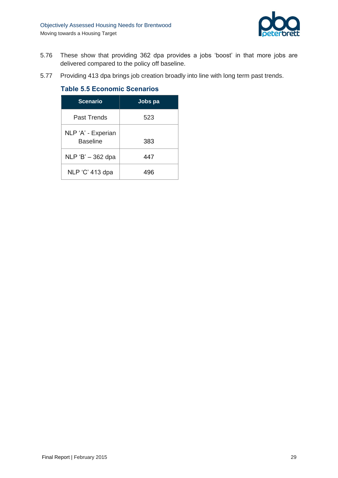

- 5.76 These show that providing 362 dpa provides a jobs 'boost' in that more jobs are delivered compared to the policy off baseline.
- <span id="page-34-0"></span>5.77 Providing 413 dpa brings job creation broadly into line with long term past trends.

**Table 5.5 Economic Scenarios**

| <b>Scenario</b>                       | Jobs pa |
|---------------------------------------|---------|
| Past Trends                           | 523     |
| NLP 'A' - Experian<br><b>Baseline</b> | 383     |
| NLP 'B' - 362 dpa                     | 447     |
| NLP 'C' 413 dpa                       | 496     |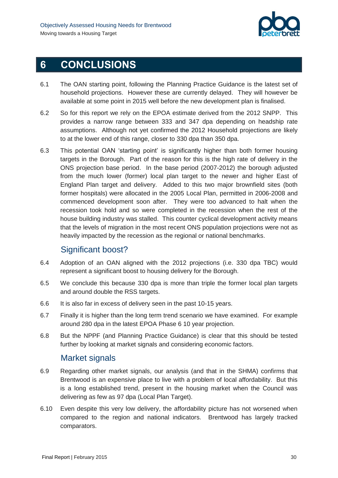

## <span id="page-35-0"></span>**6 CONCLUSIONS**

- 6.1 The OAN starting point, following the Planning Practice Guidance is the latest set of household projections. However these are currently delayed. They will however be available at some point in 2015 well before the new development plan is finalised.
- 6.2 So for this report we rely on the EPOA estimate derived from the 2012 SNPP. This provides a narrow range between 333 and 347 dpa depending on headship rate assumptions. Although not yet confirmed the 2012 Household projections are likely to at the lower end of this range, closer to 330 dpa than 350 dpa.
- 6.3 This potential OAN 'starting point' is significantly higher than both former housing targets in the Borough. Part of the reason for this is the high rate of delivery in the ONS projection base period. In the base period (2007-2012) the borough adjusted from the much lower (former) local plan target to the newer and higher East of England Plan target and delivery. Added to this two major brownfield sites (both former hospitals) were allocated in the 2005 Local Plan, permitted in 2006-2008 and commenced development soon after. They were too advanced to halt when the recession took hold and so were completed in the recession when the rest of the house building industry was stalled. This counter cyclical development activity means that the levels of migration in the most recent ONS population projections were not as heavily impacted by the recession as the regional or national benchmarks.

### Significant boost?

- 6.4 Adoption of an OAN aligned with the 2012 projections (i.e. 330 dpa TBC) would represent a significant boost to housing delivery for the Borough.
- 6.5 We conclude this because 330 dpa is more than triple the former local plan targets and around double the RSS targets.
- 6.6 It is also far in excess of delivery seen in the past 10-15 years.
- 6.7 Finally it is higher than the long term trend scenario we have examined. For example around 280 dpa in the latest EPOA Phase 6 10 year projection.
- 6.8 But the NPPF (and Planning Practice Guidance) is clear that this should be tested further by looking at market signals and considering economic factors.

### Market signals

- 6.9 Regarding other market signals, our analysis (and that in the SHMA) confirms that Brentwood is an expensive place to live with a problem of local affordability. But this is a long established trend, present in the housing market when the Council was delivering as few as 97 dpa (Local Plan Target).
- 6.10 Even despite this very low delivery, the affordability picture has not worsened when compared to the region and national indicators. Brentwood has largely tracked comparators.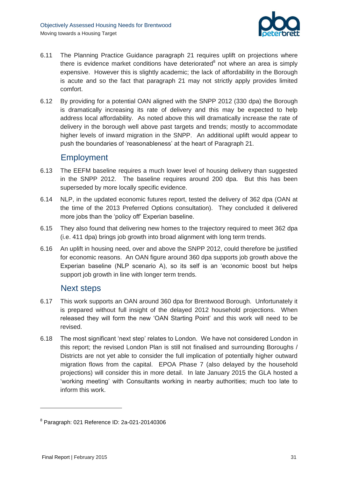

- 6.11 The Planning Practice Guidance paragraph 21 requires uplift on projections where there is evidence market conditions have deteriorated<sup>8</sup> not where an area is simply expensive. However this is slightly academic; the lack of affordability in the Borough is acute and so the fact that paragraph 21 may not strictly apply provides limited comfort.
- 6.12 By providing for a potential OAN aligned with the SNPP 2012 (330 dpa) the Borough is dramatically increasing its rate of delivery and this may be expected to help address local affordability. As noted above this will dramatically increase the rate of delivery in the borough well above past targets and trends; mostly to accommodate higher levels of inward migration in the SNPP. An additional uplift would appear to push the boundaries of 'reasonableness' at the heart of Paragraph 21.

### Employment

- 6.13 The EEFM baseline requires a much lower level of housing delivery than suggested in the SNPP 2012. The baseline requires around 200 dpa. But this has been superseded by more locally specific evidence.
- 6.14 NLP, in the updated economic futures report, tested the delivery of 362 dpa (OAN at the time of the 2013 Preferred Options consultation). They concluded it delivered more jobs than the 'policy off' Experian baseline.
- 6.15 They also found that delivering new homes to the trajectory required to meet 362 dpa (i.e. 411 dpa) brings job growth into broad alignment with long term trends.
- 6.16 An uplift in housing need, over and above the SNPP 2012, could therefore be justified for economic reasons. An OAN figure around 360 dpa supports job growth above the Experian baseline (NLP scenario A), so its self is an 'economic boost but helps support job growth in line with longer term trends.

### Next steps

- 6.17 This work supports an OAN around 360 dpa for Brentwood Borough. Unfortunately it is prepared without full insight of the delayed 2012 household projections. When released they will form the new 'OAN Starting Point' and this work will need to be revised.
- 6.18 The most significant 'next step' relates to London. We have not considered London in this report; the revised London Plan is still not finalised and surrounding Boroughs / Districts are not yet able to consider the full implication of potentially higher outward migration flows from the capital. EPOA Phase 7 (also delayed by the household projections) will consider this in more detail. In late January 2015 the GLA hosted a 'working meeting' with Consultants working in nearby authorities; much too late to inform this work.

 $\overline{a}$ 

<sup>8</sup> Paragraph: 021 Reference ID: 2a-021-20140306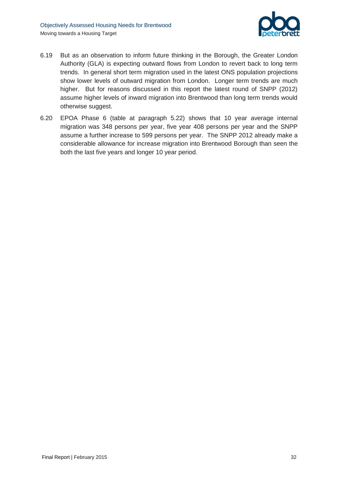

- 6.19 But as an observation to inform future thinking in the Borough, the Greater London Authority (GLA) is expecting outward flows from London to revert back to long term trends. In general short term migration used in the latest ONS population projections show lower levels of outward migration from London. Longer term trends are much higher. But for reasons discussed in this report the latest round of SNPP (2012) assume higher levels of inward migration into Brentwood than long term trends would otherwise suggest.
- 6.20 EPOA Phase 6 (table at paragraph 5.22) shows that 10 year average internal migration was 348 persons per year, five year 408 persons per year and the SNPP assume a further increase to 599 persons per year. The SNPP 2012 already make a considerable allowance for increase migration into Brentwood Borough than seen the both the last five years and longer 10 year period.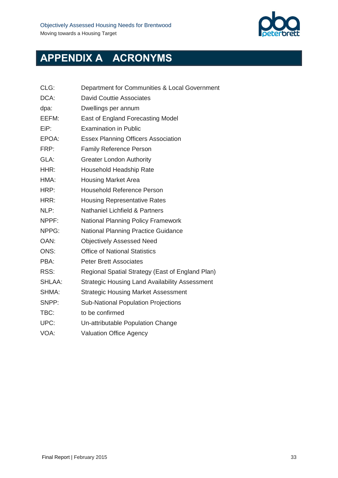

# **APPENDIX A ACRONYMS**

- CLG: Department for Communities & Local Government
- DCA: David Couttie Associates
- dpa: Dwellings per annum
- EEFM: East of England Forecasting Model
- EiP: Examination in Public
- EPOA: Essex Planning Officers Association
- FRP: Family Reference Person
- GLA: Greater London Authority
- HHR: Household Headship Rate
- HMA: Housing Market Area
- HRP: Household Reference Person
- HRR: Housing Representative Rates
- NLP: Nathaniel Lichfield & Partners
- NPPF: National Planning Policy Framework
- NPPG: National Planning Practice Guidance
- OAN: Objectively Assessed Need
- ONS: Office of National Statistics
- PBA: Peter Brett Associates
- RSS: Regional Spatial Strategy (East of England Plan)
- SHLAA: Strategic Housing Land Availability Assessment
- SHMA: Strategic Housing Market Assessment
- SNPP: Sub-National Population Projections
- TBC: to be confirmed
- UPC: Un-attributable Population Change
- VOA: Valuation Office Agency